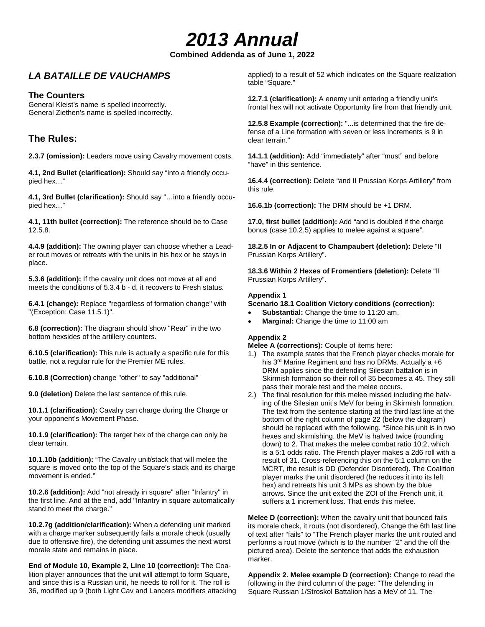# *2013 Annual*

**Combined Addenda as of June 1, 2022**

## *LA BATAILLE DE VAUCHAMPS*

## **The Counters**

General Kleist's name is spelled incorrectly. General Ziethen's name is spelled incorrectly.

## **The Rules:**

**2.3.7 (omission):** Leaders move using Cavalry movement costs.

**4.1, 2nd Bullet (clarification):** Should say "into a friendly occupied hex…"

**4.1, 3rd Bullet (clarification):** Should say "…into a friendly occupied hex…"

**4.1, 11th bullet (correction):** The reference should be to Case 12.5.8.

**4.4.9 (addition):** The owning player can choose whether a Leader rout moves or retreats with the units in his hex or he stays in place.

**5.3.6 (addition):** If the cavalry unit does not move at all and meets the conditions of 5.3.4 b - d, it recovers to Fresh status.

**6.4.1 (change):** Replace "regardless of formation change" with "(Exception: Case 11.5.1)".

**6.8 (correction):** The diagram should show "Rear" in the two bottom hexsides of the artillery counters.

**6.10.5 (clarification):** This rule is actually a specific rule for this battle, not a regular rule for the Premier ME rules.

**6.10.8 (Correction)** change "other" to say "additional"

**9.0 (deletion)** Delete the last sentence of this rule.

**10.1.1 (clarification):** Cavalry can charge during the Charge or your opponent's Movement Phase.

**10.1.9 (clarification):** The target hex of the charge can only be clear terrain.

**10.1.10b (addition):** "The Cavalry unit/stack that will melee the square is moved onto the top of the Square's stack and its charge movement is ended."

**10.2.6 (addition):** Add "not already in square" after "Infantry" in the first line. And at the end, add "Infantry in square automatically stand to meet the charge."

**10.2.7g (addition/clarification):** When a defending unit marked with a charge marker subsequently fails a morale check (usually due to offensive fire), the defending unit assumes the next worst morale state and remains in place.

**End of Module 10, Example 2, Line 10 (correction):** The Coalition player announces that the unit will attempt to form Square, and since this is a Russian unit, he needs to roll for it. The roll is 36, modified up 9 (both Light Cav and Lancers modifiers attacking applied) to a result of 52 which indicates on the Square realization table "Square."

**12.7.1 (clarification):** A enemy unit entering a friendly unit's frontal hex will not activate Opportunity fire from that friendly unit.

**12.5.8 Example (correction):** "...is determined that the fire defense of a Line formation with seven or less Increments is 9 in clear terrain."

**14.1.1 (addition):** Add "immediately" after "must" and before "have" in this sentence.

**16.4.4 (correction):** Delete "and II Prussian Korps Artillery" from this rule.

**16.6.1b (correction):** The DRM should be +1 DRM.

**17.0, first bullet (addition):** Add "and is doubled if the charge bonus (case 10.2.5) applies to melee against a square".

**18.2.5 In or Adjacent to Champaubert (deletion):** Delete "II Prussian Korps Artillery".

**18.3.6 Within 2 Hexes of Fromentiers (deletion):** Delete "II Prussian Korps Artillery".

### **Appendix 1**

**Scenario 18.1 Coalition Victory conditions (correction):**

- **Substantial:** Change the time to 11:20 am.
- **Marginal:** Change the time to 11:00 am

## **Appendix 2**

**Melee A (corrections):** Couple of items here:

- 1.) The example states that the French player checks morale for his 3<sup>rd</sup> Marine Regiment and has no DRMs. Actually a +6 DRM applies since the defending Silesian battalion is in Skirmish formation so their roll of 35 becomes a 45. They still pass their morale test and the melee occurs.
- 2.) The final resolution for this melee missed including the halving of the Silesian unit's MeV for being in Skirmish formation. The text from the sentence starting at the third last line at the bottom of the right column of page 22 (below the diagram) should be replaced with the following. "Since his unit is in two hexes and skirmishing, the MeV is halved twice (rounding down) to 2. That makes the melee combat ratio 10:2, which is a 5:1 odds ratio. The French player makes a 2d6 roll with a result of 31. Cross-referencing this on the 5:1 column on the MCRT, the result is DD (Defender Disordered). The Coalition player marks the unit disordered (he reduces it into its left hex) and retreats his unit 3 MPs as shown by the blue arrows. Since the unit exited the ZOI of the French unit, it suffers a 1 increment loss. That ends this melee.

**Melee D (correction):** When the cavalry unit that bounced fails its morale check, it routs (not disordered), Change the 6th last line of text after "fails" to "The French player marks the unit routed and performs a rout move (which is to the number "2" and the off the pictured area). Delete the sentence that adds the exhaustion marker.

**Appendix 2. Melee example D (correction):** Change to read the following in the third column of the page: "The defending in Square Russian 1/Stroskol Battalion has a MeV of 11. The